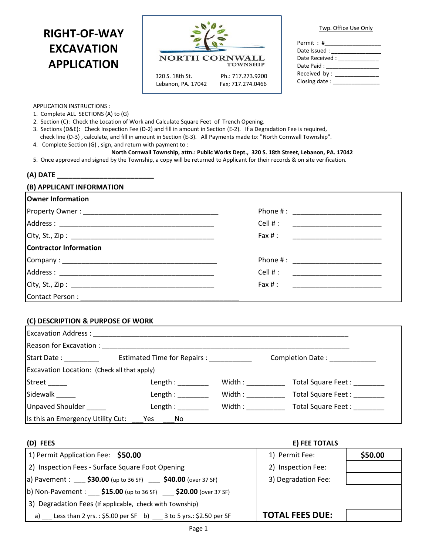# **RIGHT-OF-WAY EXCAVATION APPLICATION**



| Twp. Office Use Only |
|----------------------|
|----------------------|

| Permit : #      |
|-----------------|
| Date Issued :   |
| Date Received : |
| Date Paid :     |
| Received by :   |
| Closing date:   |
|                 |

#### APPLICATION INSTRUCTIONS :

1. Complete ALL SECTIONS (A) to (G)

- 2. Section (C): Check the Location of Work and Calculate Square Feet of Trench Opening.
- 3. Sections (D&E): Check Inspection Fee (D-2) and fill in amount in Section (E-2). If a Degradation Fee is required, check line (D-3) , calculate, and fill in amount in Section (E-3). All Payments made to: "North Cornwall Township".
- 4. Complete Section (G) , sign, and return with payment to :

## **North Cornwall Township, attn.: Public Works Dept., 320 S. 18th Street, Lebanon, PA. 17042**

5. Once approved and signed by the Township, a copy will be returned to Applicant for their records & on site verification.

### **(A) DATE \_\_\_\_\_\_\_\_\_\_\_\_\_\_\_\_\_\_\_\_\_\_\_\_\_**

# **(B) APPLICANT INFORMATION Owner Information** Property Owner : \_\_\_\_\_\_\_\_\_\_\_\_\_\_\_\_\_\_\_\_\_\_\_\_\_\_\_\_\_\_\_\_\_\_\_ Phone # : \_\_\_\_\_\_\_\_\_\_\_\_\_\_\_\_\_\_\_\_\_\_\_ Address : \_\_\_\_\_\_\_\_\_\_\_\_\_\_\_\_\_\_\_\_\_\_\_\_\_\_\_\_\_\_\_\_\_\_\_\_\_\_\_\_ Cell # : \_\_\_\_\_\_\_\_\_\_\_\_\_\_\_\_\_\_\_\_\_\_\_  $City, St., Zip:$ **Contractor Information** Company : \_\_\_\_\_\_\_\_\_\_\_\_\_\_\_\_\_\_\_\_\_\_\_\_\_\_\_\_\_\_\_\_\_\_\_\_\_\_\_\_ Phone # : \_\_\_\_\_\_\_\_\_\_\_\_\_\_\_\_\_\_\_\_\_\_\_ Address : \_\_\_\_\_\_\_\_\_\_\_\_\_\_\_\_\_\_\_\_\_\_\_\_\_\_\_\_\_\_\_\_\_\_\_\_\_\_\_\_ Cell # : \_\_\_\_\_\_\_\_\_\_\_\_\_\_\_\_\_\_\_\_\_\_\_ City, St., Zip : \_\_\_\_\_\_\_\_\_\_\_\_\_\_\_\_\_\_\_\_\_\_\_\_\_\_\_\_\_\_\_\_\_\_\_\_\_ Fax # : \_\_\_\_\_\_\_\_\_\_\_\_\_\_\_\_\_\_\_\_\_\_\_ Contact Person:

### **(C) DESCRIPTION & PURPOSE OF WORK**

|                                             | Excavation Address : North American State of the Association of the Association of the Association of the Association of the Association of the Association of the Association of the Association of the Association of the As |                                            |                         |
|---------------------------------------------|--------------------------------------------------------------------------------------------------------------------------------------------------------------------------------------------------------------------------------|--------------------------------------------|-------------------------|
| Reason for Excavation : ___                 |                                                                                                                                                                                                                                |                                            |                         |
| Start Date: 1988                            | Estimated Time for Repairs : _____________                                                                                                                                                                                     |                                            | <b>Completion Date:</b> |
| Excavation Location: (Check all that apply) |                                                                                                                                                                                                                                |                                            |                         |
| Street ______                               | Length :                                                                                                                                                                                                                       | $\text{Width}: \underline{\hspace{2.5cm}}$ | Total Square Feet:      |
| Sidewalk _____                              | Length :                                                                                                                                                                                                                       | Width:                                     | Total Square Feet:      |
| Unpaved Shoulder                            | Length : $\overline{\phantom{a}}$                                                                                                                                                                                              | Width:                                     | Total Square Feet:      |
| Is this an Emergency Utility Cut:           | No<br>Yes.                                                                                                                                                                                                                     |                                            |                         |

| (D) FEES                                                                                        | E) FEE TOTALS          |         |
|-------------------------------------------------------------------------------------------------|------------------------|---------|
| 1) Permit Application Fee: \$50.00                                                              | 1) Permit Fee:         | \$50.00 |
| 2) Inspection Fees - Surface Square Foot Opening                                                | 2) Inspection Fee:     |         |
| a) Pavement : \$30.00 (up to 36 SF) \$40.00 (over 37 SF)                                        | 3) Degradation Fee:    |         |
| (b) Non-Pavement : $\frac{$15.00}{\text{ (up to 36 SF)}}$ $\frac{$20.00}{\text{ (over 37 SF)}}$ |                        |         |
| 3) Degradation Fees (If applicable, check with Township)                                        |                        |         |
| a) Less than 2 yrs.: $$5.00$ per SF b) ___ 3 to 5 yrs.: \$2.50 per SF                           | <b>TOTAL FEES DUE:</b> |         |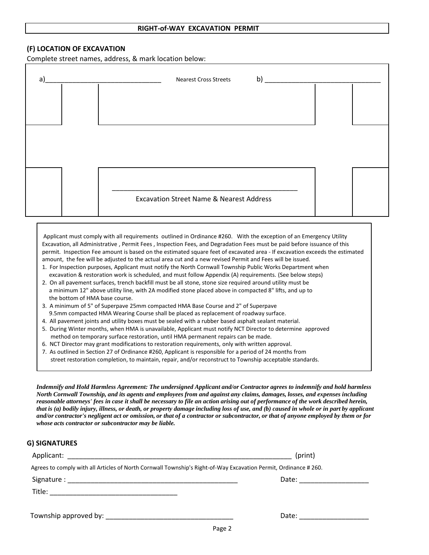### **RIGHT-of-WAY EXCAVATION PERMIT**

### **(F) LOCATION OF EXCAVATION**

Complete street names, address, & mark location below:

| a) | b)<br><b>Nearest Cross Streets</b>                  |  |
|----|-----------------------------------------------------|--|
|    |                                                     |  |
|    |                                                     |  |
|    |                                                     |  |
|    | <b>Excavation Street Name &amp; Nearest Address</b> |  |
|    |                                                     |  |

Applicant must comply with all requirements outlined in Ordinance #260. With the exception of an Emergency Utility Excavation, all Administrative , Permit Fees , Inspection Fees, and Degradation Fees must be paid before issuance of this permit. Inspection Fee amount is based on the estimated square feet of excavated area - If excavation exceeds the estimated amount, the fee will be adjusted to the actual area cut and a new revised Permit and Fees will be issued.

- 1. For Inspection purposes, Applicant must notify the North Cornwall Township Public Works Department when excavation & restoration work is scheduled, and must follow Appendix (A) requirements. (See below steps)
- 2. On all pavement surfaces, trench backfill must be all stone, stone size required around utility must be a minimum 12" above utility line, with 2A modified stone placed above in compacted 8" lifts, and up to the bottom of HMA base course.
- 3. A minimum of 5" of Superpave 25mm compacted HMA Base Course and 2" of Superpave 9.5mm compacted HMA Wearing Course shall be placed as replacement of roadway surface.
- 4. All pavement joints and utility boxes must be sealed with a rubber based asphalt sealant material.
- 5. During Winter months, when HMA is unavailable, Applicant must notify NCT Director to determine approved method on temporary surface restoration, until HMA permanent repairs can be made.
- 6. NCT Director may grant modifications to restoration requirements, only with written approval.
- 7. As outlined in Section 27 of Ordinance #260, Applicant is responsible for a period of 24 months from street restoration completion, to maintain, repair, and/or reconstruct to Township acceptable standards.

*Indemnify and Hold Harmless Agreement: The undersigned Applicant and/or Contractor agrees to indemnify and hold harmless North Cornwall Township, and its agents and employees from and against any claims, damages, losses, and expenses including reasonable attorneys' fees in case it shall be necessary to file an action arising out of performance of the work described herein, that is (a) bodily injury, illness, or death, or property damage including loss of use, and (b) caused in whole or in part by applicant and/or contractor's negligent act or omission, or that of a contractor or subcontractor, or that of anyone employed by them or for whose acts contractor or subcontractor may be liable.*

### **G) SIGNATURES**

|                                                                                                                 | (print)                 |  |  |  |
|-----------------------------------------------------------------------------------------------------------------|-------------------------|--|--|--|
| Agrees to comply with all Articles of North Cornwall Township's Right-of-Way Excavation Permit, Ordinance #260. |                         |  |  |  |
|                                                                                                                 | Date: _________________ |  |  |  |
|                                                                                                                 |                         |  |  |  |
|                                                                                                                 |                         |  |  |  |
| Township approved by: Township approved by:                                                                     | Date:                   |  |  |  |